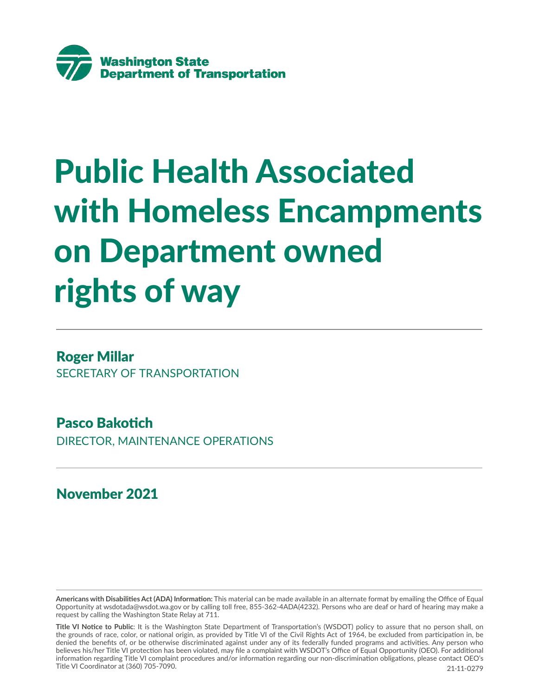

# Public Health Associated with Homeless Encampments on Department owned rights of way

### Roger Millar

SECRETARY OF TRANSPORTATION

## Pasco Bakotich

DIRECTOR, MAINTENANCE OPERATIONS

November 2021

**Americans with Disabilities Act (ADA) Information:** This material can be made available in an alternate format by emailing the Office of Equal Opportunity at wsdotada@wsdot.wa.gov or by calling toll free, 855-362-4ADA(4232). Persons who are deaf or hard of hearing may make a request by calling the Washington State Relay at 711.

**Title VI Notice to Public**: It is the Washington State Department of Transportation's (WSDOT) policy to assure that no person shall, on the grounds of race, color, or national origin, as provided by Title VI of the Civil Rights Act of 1964, be excluded from participation in, be denied the benefits of, or be otherwise discriminated against under any of its federally funded programs and activities. Any person who believes his/her Title VI protection has been violated, may file a complaint with WSDOT's Office of Equal Opportunity (OEO). For additional information regarding Title VI complaint procedures and/or information regarding our non-discrimination obligations, please contact OEO's Title VI Coordinator at (360) 705-7090. 21-11-0279. 21-11-0279. 21-11-0279. 21-11-0279.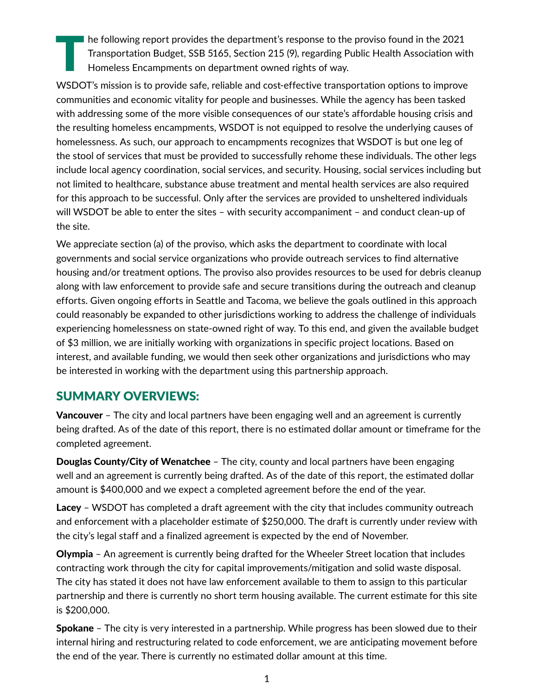The following report provides the department's response to the proviso found in the 2021<br>Transportation Budget, SSB 5165, Section 215 (9), regarding Public Health Association wit<br>Homeless Encampments on department owned ri Transportation Budget, SSB 5165, Section 215 (9), regarding Public Health Association with Homeless Encampments on department owned rights of way.

WSDOT's mission is to provide safe, reliable and cost-effective transportation options to improve communities and economic vitality for people and businesses. While the agency has been tasked with addressing some of the more visible consequences of our state's affordable housing crisis and the resulting homeless encampments, WSDOT is not equipped to resolve the underlying causes of homelessness. As such, our approach to encampments recognizes that WSDOT is but one leg of the stool of services that must be provided to successfully rehome these individuals. The other legs include local agency coordination, social services, and security. Housing, social services including but not limited to healthcare, substance abuse treatment and mental health services are also required for this approach to be successful. Only after the services are provided to unsheltered individuals will WSDOT be able to enter the sites – with security accompaniment – and conduct clean-up of the site.

We appreciate section (a) of the proviso, which asks the department to coordinate with local governments and social service organizations who provide outreach services to find alternative housing and/or treatment options. The proviso also provides resources to be used for debris cleanup along with law enforcement to provide safe and secure transitions during the outreach and cleanup efforts. Given ongoing efforts in Seattle and Tacoma, we believe the goals outlined in this approach could reasonably be expanded to other jurisdictions working to address the challenge of individuals experiencing homelessness on state-owned right of way. To this end, and given the available budget of \$3 million, we are initially working with organizations in specific project locations. Based on interest, and available funding, we would then seek other organizations and jurisdictions who may be interested in working with the department using this partnership approach.

#### SUMMARY OVERVIEWS:

**Vancouver** – The city and local partners have been engaging well and an agreement is currently being drafted. As of the date of this report, there is no estimated dollar amount or timeframe for the completed agreement.

**Douglas County/City of Wenatchee** – The city, county and local partners have been engaging well and an agreement is currently being drafted. As of the date of this report, the estimated dollar amount is \$400,000 and we expect a completed agreement before the end of the year.

Lacey – WSDOT has completed a draft agreement with the city that includes community outreach and enforcement with a placeholder estimate of \$250,000. The draft is currently under review with the city's legal staff and a finalized agreement is expected by the end of November.

Olympia – An agreement is currently being drafted for the Wheeler Street location that includes contracting work through the city for capital improvements/mitigation and solid waste disposal. The city has stated it does not have law enforcement available to them to assign to this particular partnership and there is currently no short term housing available. The current estimate for this site is \$200,000.

Spokane – The city is very interested in a partnership. While progress has been slowed due to their internal hiring and restructuring related to code enforcement, we are anticipating movement before the end of the year. There is currently no estimated dollar amount at this time.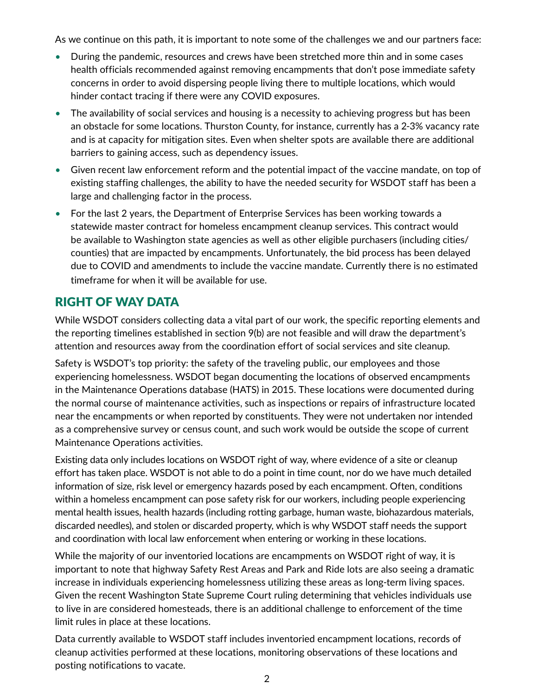As we continue on this path, it is important to note some of the challenges we and our partners face:

- During the pandemic, resources and crews have been stretched more thin and in some cases health officials recommended against removing encampments that don't pose immediate safety concerns in order to avoid dispersing people living there to multiple locations, which would hinder contact tracing if there were any COVID exposures.
- The availability of social services and housing is a necessity to achieving progress but has been an obstacle for some locations. Thurston County, for instance, currently has a 2-3% vacancy rate and is at capacity for mitigation sites. Even when shelter spots are available there are additional barriers to gaining access, such as dependency issues.
- Given recent law enforcement reform and the potential impact of the vaccine mandate, on top of existing staffing challenges, the ability to have the needed security for WSDOT staff has been a large and challenging factor in the process.
- For the last 2 years, the Department of Enterprise Services has been working towards a statewide master contract for homeless encampment cleanup services. This contract would be available to Washington state agencies as well as other eligible purchasers (including cities/ counties) that are impacted by encampments. Unfortunately, the bid process has been delayed due to COVID and amendments to include the vaccine mandate. Currently there is no estimated timeframe for when it will be available for use.

#### RIGHT OF WAY DATA

While WSDOT considers collecting data a vital part of our work, the specific reporting elements and the reporting timelines established in section 9(b) are not feasible and will draw the department's attention and resources away from the coordination effort of social services and site cleanup.

Safety is WSDOT's top priority: the safety of the traveling public, our employees and those experiencing homelessness. WSDOT began documenting the locations of observed encampments in the Maintenance Operations database (HATS) in 2015. These locations were documented during the normal course of maintenance activities, such as inspections or repairs of infrastructure located near the encampments or when reported by constituents. They were not undertaken nor intended as a comprehensive survey or census count, and such work would be outside the scope of current Maintenance Operations activities.

Existing data only includes locations on WSDOT right of way, where evidence of a site or cleanup effort has taken place. WSDOT is not able to do a point in time count, nor do we have much detailed information of size, risk level or emergency hazards posed by each encampment. Often, conditions within a homeless encampment can pose safety risk for our workers, including people experiencing mental health issues, health hazards (including rotting garbage, human waste, biohazardous materials, discarded needles), and stolen or discarded property, which is why WSDOT staff needs the support and coordination with local law enforcement when entering or working in these locations.

While the majority of our inventoried locations are encampments on WSDOT right of way, it is important to note that highway Safety Rest Areas and Park and Ride lots are also seeing a dramatic increase in individuals experiencing homelessness utilizing these areas as long-term living spaces. Given the recent Washington State Supreme Court ruling determining that vehicles individuals use to live in are considered homesteads, there is an additional challenge to enforcement of the time limit rules in place at these locations.

Data currently available to WSDOT staff includes inventoried encampment locations, records of cleanup activities performed at these locations, monitoring observations of these locations and posting notifications to vacate.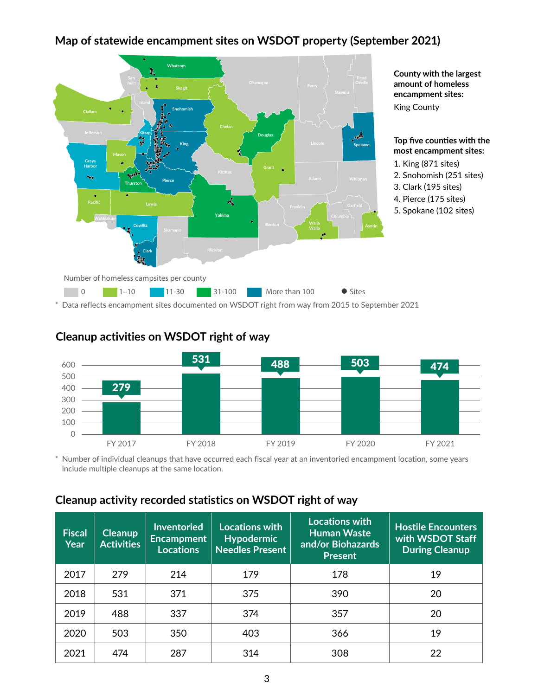# **Map of statewide encampment sites on WSDOT property (September 2021) Map of statewide encampment sites on WSDOT property (September 2021)**



Data reflects encampment sites documented on WSDOT right from way from 2015 to September 2021



#### **Cleanup activities on WSDOT right of way**

\* Number of individual cleanups that have occurred each fiscal year at an inventoried encampment location, some years include multiple cleanups at the same location.

#### **Cleanup activity recorded statistics on WSDOT right of way**

| <b>Fiscal</b><br>Year | <b>Cleanup</b><br><b>Activities</b> | <b>Inventoried</b><br><b>Encampment</b><br><b>Locations</b> | <b>Locations with</b><br><b>Hypodermic</b><br><b>Needles Present</b> | <b>Locations with</b><br><b>Human Waste</b><br>and/or Biohazards<br><b>Present</b> | <b>Hostile Encounters</b><br>with WSDOT Staff<br><b>During Cleanup</b> |
|-----------------------|-------------------------------------|-------------------------------------------------------------|----------------------------------------------------------------------|------------------------------------------------------------------------------------|------------------------------------------------------------------------|
| 2017                  | 279                                 | 214                                                         | 179                                                                  | 178                                                                                | 19                                                                     |
| 2018                  | 531                                 | 371                                                         | 375                                                                  | 390                                                                                | 20                                                                     |
| 2019                  | 488                                 | 337                                                         | 374                                                                  | 357                                                                                | 20                                                                     |
| 2020                  | 503                                 | 350                                                         | 403                                                                  | 366                                                                                | 19                                                                     |
| 2021                  | 474                                 | 287                                                         | 314                                                                  | 308                                                                                | 22                                                                     |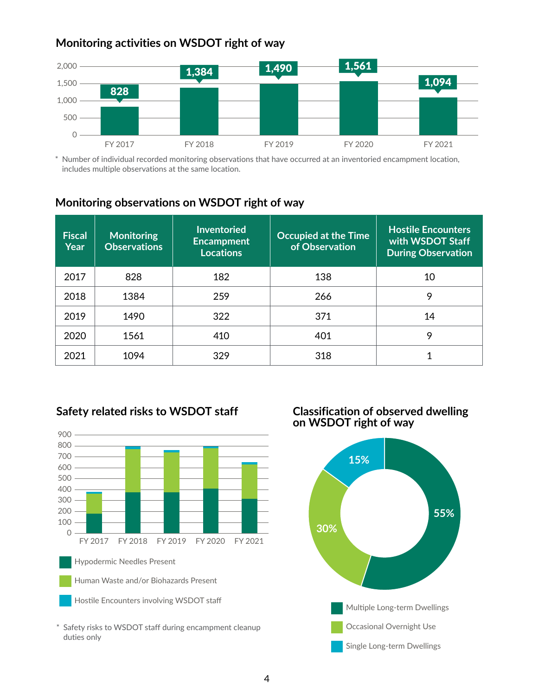#### **Monitoring activities on WSDOT right of way**



\* Number of individual recorded monitoring observations that have occurred at an inventoried encampment location, includes multiple observations at the same location.

#### **Monitoring observations on WSDOT right of way**

| <b>Fiscal</b><br>Year | <b>Monitoring</b><br><b>Observations</b> | <b>Inventoried</b><br><b>Encampment</b><br><b>Locations</b> | <b>Occupied at the Time</b><br>of Observation | <b>Hostile Encounters</b><br>with WSDOT Staff<br><b>During Observation</b> |
|-----------------------|------------------------------------------|-------------------------------------------------------------|-----------------------------------------------|----------------------------------------------------------------------------|
| 2017                  | 828                                      | 182                                                         | 138                                           | 10                                                                         |
| 2018                  | 1384                                     | 259                                                         | 266                                           | 9                                                                          |
| 2019                  | 1490                                     | 322                                                         | 371                                           | 14                                                                         |
| 2020                  | 1561                                     | 410                                                         | 401                                           | 9                                                                          |
| 2021                  | 1094                                     | 329                                                         | 318                                           |                                                                            |





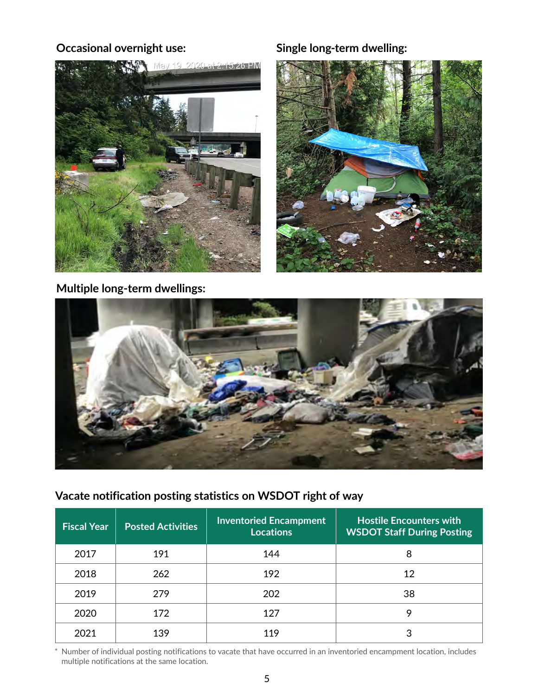

#### **Occasional overnight use: Single long-term dwelling:**



**Multiple long-term dwellings:**



#### **Vacate notification posting statistics on WSDOT right of way**

| <b>Fiscal Year</b> | <b>Posted Activities</b> | <b>Inventoried Encampment</b><br><b>Locations</b> | <b>Hostile Encounters with</b><br><b>WSDOT Staff During Posting</b> |
|--------------------|--------------------------|---------------------------------------------------|---------------------------------------------------------------------|
| 2017               | 191                      | 144                                               | 8                                                                   |
| 2018               | 262                      | 192                                               | 12                                                                  |
| 2019               | 279                      | 202                                               | 38                                                                  |
| 2020               | 172                      | 127                                               | 9                                                                   |
| 2021               | 139                      | 119                                               |                                                                     |

\* Number of individual posting notifications to vacate that have occurred in an inventoried encampment location, includes multiple notifications at the same location.